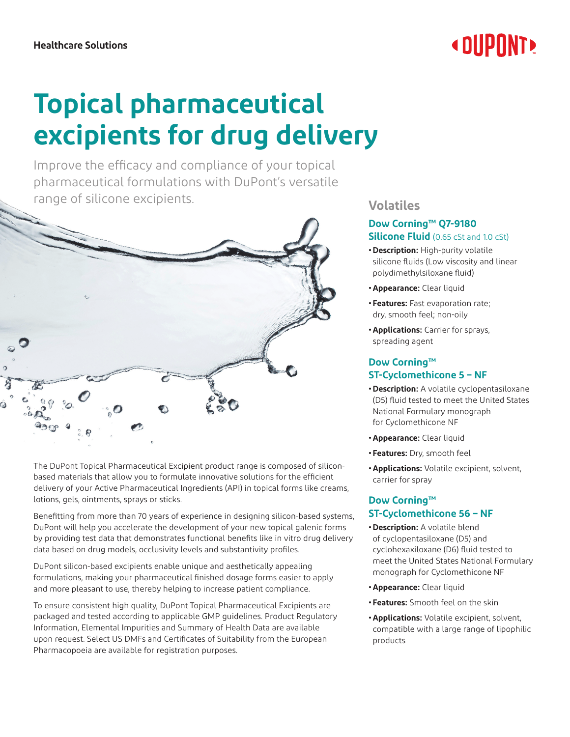# **« DUPONT!**

# **Topical pharmaceutical excipients for drug delivery**

Improve the efficacy and compliance of your topical pharmaceutical formulations with DuPont's versatile range of silicone excipients.



The DuPont Topical Pharmaceutical Excipient product range is composed of siliconbased materials that allow you to formulate innovative solutions for the efficient delivery of your Active Pharmaceutical Ingredients (API) in topical forms like creams, lotions, gels, ointments, sprays or sticks.

Benefitting from more than 70 years of experience in designing silicon-based systems, DuPont will help you accelerate the development of your new topical galenic forms by providing test data that demonstrates functional benefits like in vitro drug delivery data based on drug models, occlusivity levels and substantivity profiles.

DuPont silicon-based excipients enable unique and aesthetically appealing formulations, making your pharmaceutical finished dosage forms easier to apply and more pleasant to use, thereby helping to increase patient compliance.

To ensure consistent high quality, DuPont Topical Pharmaceutical Excipients are packaged and tested according to applicable GMP guidelines. Product Regulatory Information, Elemental Impurities and Summary of Health Data are available upon request. Select US DMFs and Certificates of Suitability from the European Pharmacopoeia are available for registration purposes.

# **Volatiles**

#### **Dow Corning™ Q7-9180 Silicone Fluid** (0.65 cSt and 1.0 cSt)

- **•Description:** High-purity volatile silicone fluids (Low viscosity and linear polydimethylsiloxane fluid)
- **•Appearance:** Clear liquid
- **• Features:** Fast evaporation rate; dry, smooth feel; non-oily
- **•Applications:** Carrier for sprays, spreading agent

#### **Dow Corning™ ST-Cyclomethicone 5 – NF**

- **•Description:** A volatile cyclopentasiloxane (D5) fluid tested to meet the United States National Formulary monograph for Cyclomethicone NF
- **•Appearance:** Clear liquid
- **• Features:** Dry, smooth feel
- **•Applications:** Volatile excipient, solvent, carrier for spray

## **Dow Corning™ ST-Cyclomethicone 56 – NF**

- **•Description:** A volatile blend of cyclopentasiloxane (D5) and cyclohexaxiloxane (D6) fluid tested to meet the United States National Formulary monograph for Cyclomethicone NF
- **•Appearance:** Clear liquid
- **• Features:** Smooth feel on the skin
- **•Applications:** Volatile excipient, solvent, compatible with a large range of lipophilic products